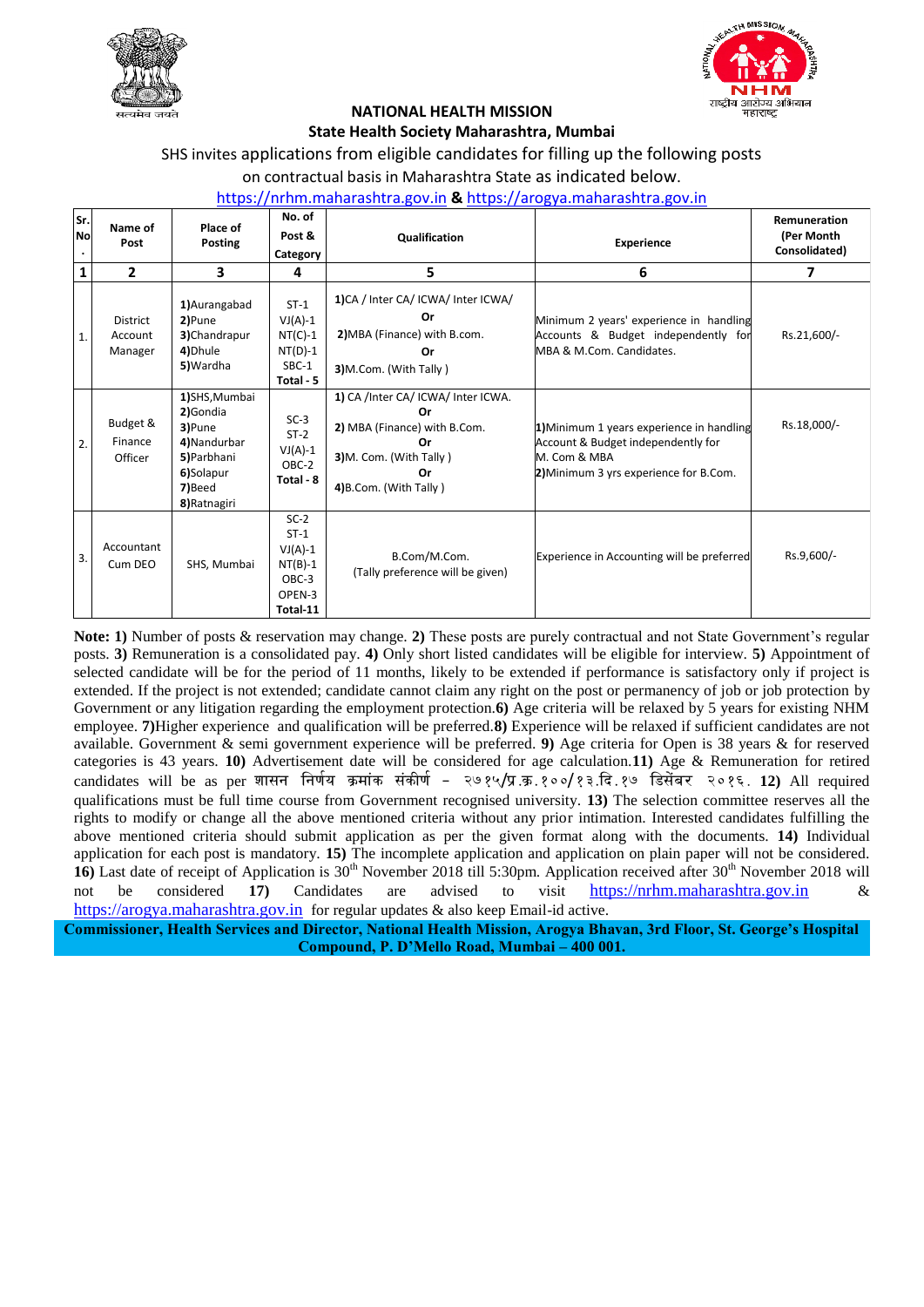



# **NATIONAL HEALTH MISSION**

### **State Health Society Maharashtra, Mumbai**

## SHS invites applications from eligible candidates for filling up the following posts

on contractual basis in Maharashtra State as indicated below.

### [https://nrhm.maharashtra.gov.in](https://nrhm.maharashtra.gov.in/) **&** [https://arogya.maharashtra.gov.in](https://arogya.maharashtra.gov.in/)

| Sr.<br>No | Name of<br>Post                | Place of<br><b>Posting</b>                                                                                | No. of<br>Post &<br>Category                                              | Qualification                                                                                                                            | <b>Experience</b>                                                                                                                         | Remuneration<br>(Per Month<br>Consolidated) |
|-----------|--------------------------------|-----------------------------------------------------------------------------------------------------------|---------------------------------------------------------------------------|------------------------------------------------------------------------------------------------------------------------------------------|-------------------------------------------------------------------------------------------------------------------------------------------|---------------------------------------------|
| 1         | 2                              | 3                                                                                                         | 4                                                                         | 5                                                                                                                                        | 6                                                                                                                                         | 7                                           |
| 1.        | District<br>Account<br>Manager | 1) Aurangabad<br>2)Pune<br>3)Chandrapur<br>4) Dhule<br>5) Wardha                                          | $ST-1$<br>$VJ(A)-1$<br>$NT(C)-1$<br>$NT(D)-1$<br>SBC-1<br>Total - 5       | 1)CA / Inter CA/ ICWA/ Inter ICWA/<br>Or<br>2) MBA (Finance) with B.com.<br>Or<br>3)M.Com. (With Tally)                                  | Minimum 2 years' experience in handling<br>Accounts & Budget independently for<br>MBA & M.Com. Candidates.                                | Rs.21,600/-                                 |
| 2.        | Budget &<br>Finance<br>Officer | 1)SHS, Mumbai<br>2)Gondia<br>3)Pune<br>4) Nandurbar<br>5) Parbhani<br>6)Solapur<br>7)Beed<br>8) Ratnagiri | $SC-3$<br>$ST-2$<br>$VJ(A)-1$<br>OBC-2<br>Total - 8                       | 1) CA /Inter CA/ ICWA/ Inter ICWA.<br>Ωr<br>2) MBA (Finance) with B.Com.<br>Ωr<br>3)M. Com. (With Tally)<br>Or<br>4) B.Com. (With Tally) | 1) Minimum 1 years experience in handling<br>Account & Budget independently for<br>M. Com & MBA<br>2) Minimum 3 yrs experience for B.Com. | Rs.18,000/-                                 |
| 3.        | Accountant<br>Cum DEO          | SHS, Mumbai                                                                                               | $SC-2$<br>$ST-1$<br>$VJ(A)-1$<br>$NT(B)-1$<br>OBC-3<br>OPEN-3<br>Total-11 | B.Com/M.Com.<br>(Tally preference will be given)                                                                                         | Experience in Accounting will be preferred                                                                                                | Rs.9,600/-                                  |

**Note: 1)** Number of posts & reservation may change. **2)** These posts are purely contractual and not State Government's regular posts. **3)** Remuneration is a consolidated pay. **4)** Only short listed candidates will be eligible for interview. **5)** Appointment of selected candidate will be for the period of 11 months, likely to be extended if performance is satisfactory only if project is extended. If the project is not extended; candidate cannot claim any right on the post or permanency of job or job protection by Government or any litigation regarding the employment protection.**6)** Age criteria will be relaxed by 5 years for existing NHM employee. **7)**Higher experience and qualification will be preferred.**8)** Experience will be relaxed if sufficient candidates are not available. Government & semi government experience will be preferred. **9)** Age criteria for Open is 38 years & for reserved categories is 43 years. **10)** Advertisement date will be considered for age calculation.**11)** Age & Remuneration for retired candidates will be as per शासन निर्णय क्रमांक संकीर्ण - २७१५/प्र.क.१००/१३.दि.१७ डिसेंबर २०१६. 12) All required qualifications must be full time course from Government recognised university. **13)** The selection committee reserves all the rights to modify or change all the above mentioned criteria without any prior intimation. Interested candidates fulfilling the above mentioned criteria should submit application as per the given format along with the documents. **14)** Individual application for each post is mandatory. **15)** The incomplete application and application on plain paper will not be considered. **16**) Last date of receipt of Application is 30<sup>th</sup> November 2018 till 5:30pm. Application received after 30<sup>th</sup> November 2018 will not be considered **17)** Candidates are advised to visit [https://nrhm.maharashtra.gov.in](https://nrhm.maharashtra.gov.in/) & [https://arogya.maharashtra.gov.in](https://arogya.maharashtra.gov.in/) for regular updates & also keep Email-id active.

**Commissioner, Health Services and Director, National Health Mission, Arogya Bhavan, 3rd Floor, St. George's Hospital Compound, P. D'Mello Road, Mumbai – 400 001.**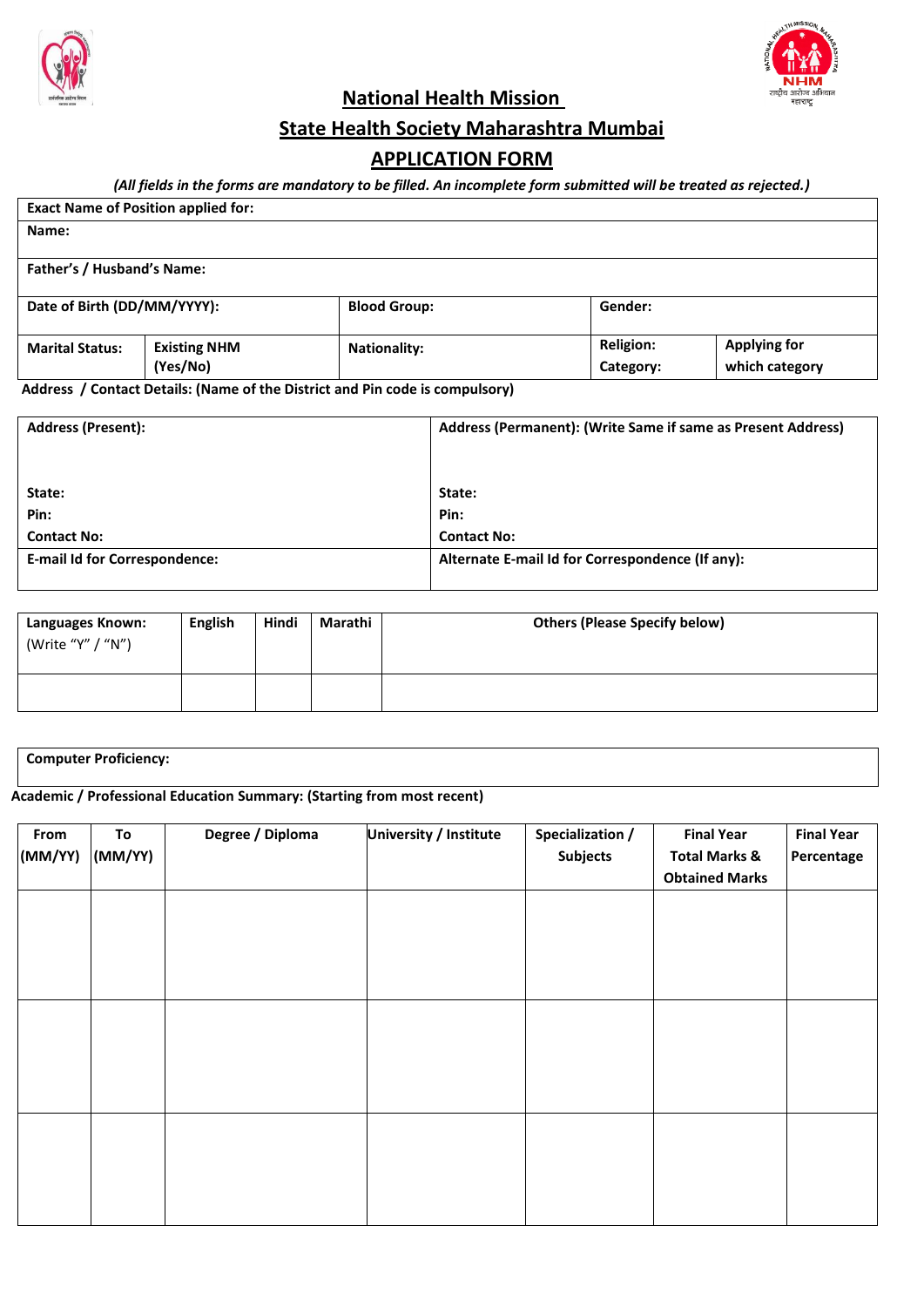



**National Health Mission** 

## **State Health Society Maharashtra Mumbai**

## **APPLICATION FORM**

*(All fields in the forms are mandatory to be filled. An incomplete form submitted will be treated as rejected.)*

| <b>Exact Name of Position applied for:</b> |                     |                     |                  |                     |  |  |  |  |
|--------------------------------------------|---------------------|---------------------|------------------|---------------------|--|--|--|--|
| Name:                                      |                     |                     |                  |                     |  |  |  |  |
|                                            |                     |                     |                  |                     |  |  |  |  |
| Father's / Husband's Name:                 |                     |                     |                  |                     |  |  |  |  |
|                                            |                     |                     |                  |                     |  |  |  |  |
| Date of Birth (DD/MM/YYYY):                |                     | <b>Blood Group:</b> | Gender:          |                     |  |  |  |  |
|                                            |                     |                     |                  |                     |  |  |  |  |
| <b>Marital Status:</b>                     | <b>Existing NHM</b> | <b>Nationality:</b> | <b>Religion:</b> | <b>Applying for</b> |  |  |  |  |
|                                            | (Yes/No)            |                     | Category:        | which category      |  |  |  |  |

**Address / Contact Details: (Name of the District and Pin code is compulsory)**

| <b>Address (Present):</b>            | Address (Permanent): (Write Same if same as Present Address) |  |  |
|--------------------------------------|--------------------------------------------------------------|--|--|
|                                      |                                                              |  |  |
|                                      |                                                              |  |  |
| State:                               | State:                                                       |  |  |
| Pin:                                 | Pin:                                                         |  |  |
| <b>Contact No:</b>                   | <b>Contact No:</b>                                           |  |  |
| <b>E-mail Id for Correspondence:</b> | Alternate E-mail Id for Correspondence (If any):             |  |  |
|                                      |                                                              |  |  |

| Languages Known:<br>(Write "Y" / "N") | English | Hindi | Marathi | <b>Others (Please Specify below)</b> |
|---------------------------------------|---------|-------|---------|--------------------------------------|
|                                       |         |       |         |                                      |

**Computer Proficiency:**

**Academic / Professional Education Summary: (Starting from most recent)**

| From<br>(MM/YY) | To<br>(MM/YY) | Degree / Diploma | <b>University / Institute</b> | Specialization /<br><b>Subjects</b> | <b>Final Year</b><br><b>Total Marks &amp;</b><br><b>Obtained Marks</b> | <b>Final Year</b><br>Percentage |
|-----------------|---------------|------------------|-------------------------------|-------------------------------------|------------------------------------------------------------------------|---------------------------------|
|                 |               |                  |                               |                                     |                                                                        |                                 |
|                 |               |                  |                               |                                     |                                                                        |                                 |
|                 |               |                  |                               |                                     |                                                                        |                                 |
|                 |               |                  |                               |                                     |                                                                        |                                 |
|                 |               |                  |                               |                                     |                                                                        |                                 |
|                 |               |                  |                               |                                     |                                                                        |                                 |